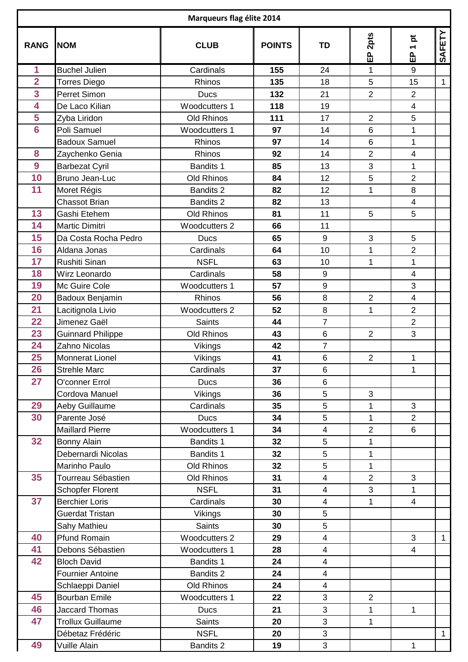| Marqueurs flag élite 2014 |                          |                      |               |                         |                 |                                    |              |  |  |  |  |
|---------------------------|--------------------------|----------------------|---------------|-------------------------|-----------------|------------------------------------|--------------|--|--|--|--|
| <b>RANG</b>               | <b>NOM</b>               | <b>CLUB</b>          | <b>POINTS</b> | <b>TD</b>               | 2pts<br>。<br>山  | ă<br>$\overline{\phantom{0}}$<br>品 | SAFETY       |  |  |  |  |
| 1                         | <b>Buchel Julien</b>     | Cardinals            | 155           | 24                      | 1               | 9                                  |              |  |  |  |  |
| $\overline{2}$            | <b>Torres Diego</b>      | Rhinos               | 135           | 18                      | 5               | 15                                 | $\mathbf{1}$ |  |  |  |  |
| $\overline{3}$            | Perret Simon             | <b>Ducs</b>          | 132           | 21                      | $\overline{2}$  | $\overline{2}$                     |              |  |  |  |  |
| 4                         | De Laco Kilian           | Woodcutters 1        | 118           | 19                      |                 | $\overline{\mathbf{4}}$            |              |  |  |  |  |
| 5                         | Zyba Liridon             | <b>Old Rhinos</b>    | 111           | 17                      | $\overline{2}$  | 5                                  |              |  |  |  |  |
| $6\phantom{1}6$           | Poli Samuel              | Woodcutters 1        | 97            | 14                      | $6\phantom{1}6$ | $\mathbf{1}$                       |              |  |  |  |  |
|                           | <b>Badoux Samuel</b>     | Rhinos               | 97            | 14                      | $6\phantom{1}6$ | $\mathbf{1}$                       |              |  |  |  |  |
| 8                         | Zaychenko Genia          | Rhinos               | 92            | 14                      | $\overline{2}$  | $\overline{\mathbf{4}}$            |              |  |  |  |  |
| 9                         | <b>Barbezat Cyril</b>    | <b>Bandits 1</b>     | 85            | 13                      | 3               | $\mathbf{1}$                       |              |  |  |  |  |
| 10                        | Bruno Jean-Luc           | Old Rhinos           | 84            | 12                      | 5               | $\overline{2}$                     |              |  |  |  |  |
| 11                        | Moret Régis              | <b>Bandits 2</b>     | 82            | 12                      | 1               | 8                                  |              |  |  |  |  |
|                           | Chassot Brian            | <b>Bandits 2</b>     | 82            | 13                      |                 | $\overline{\mathbf{4}}$            |              |  |  |  |  |
| 13                        | Gashi Etehem             | Old Rhinos           | 81            | 11                      | 5               | 5                                  |              |  |  |  |  |
| 14                        | Martic Dimitri           | <b>Woodcutters 2</b> | 66            | 11                      |                 |                                    |              |  |  |  |  |
| 15                        | Da Costa Rocha Pedro     | <b>Ducs</b>          | 65            | 9                       | 3               | 5                                  |              |  |  |  |  |
| 16                        | Aldana Jonas             | Cardinals            | 64            | 10                      | 1               | $\overline{2}$                     |              |  |  |  |  |
| 17                        | Rushiti Sinan            | <b>NSFL</b>          | 63            | 10                      | 1               | $\mathbf{1}$                       |              |  |  |  |  |
| 18                        | Wirz Leonardo            | Cardinals            | 58            | 9                       |                 | $\overline{\mathbf{4}}$            |              |  |  |  |  |
| 19                        | Mc Guire Cole            | <b>Woodcutters 1</b> | 57            | 9                       |                 | 3                                  |              |  |  |  |  |
| 20                        | Badoux Benjamin          | Rhinos               | 56            | 8                       | $\overline{2}$  | $\overline{\mathbf{4}}$            |              |  |  |  |  |
| 21                        | Lacitignola Livio        | <b>Woodcutters 2</b> | 52            | 8                       | $\mathbf{1}$    | $\overline{2}$                     |              |  |  |  |  |
| 22                        | Jimenez Gaël             | <b>Saints</b>        | 44            | $\overline{7}$          |                 | $\overline{2}$                     |              |  |  |  |  |
| 23                        | <b>Guinnard Philippe</b> | Old Rhinos           | 43            | 6                       | $\overline{2}$  | 3                                  |              |  |  |  |  |
| 24                        | Zahno Nicolas            | Vikings              | 42            | $\overline{7}$          |                 |                                    |              |  |  |  |  |
| 25                        | <b>Monnerat Lionel</b>   | Vikings              | 41            | 6                       | $\overline{2}$  | 1                                  |              |  |  |  |  |
| 26                        | <b>Strehle Marc</b>      | Cardinals            | 37            | 6                       |                 | $\mathbf{1}$                       |              |  |  |  |  |
| 27                        | O'conner Errol           | <b>Ducs</b>          | 36            | 6                       |                 |                                    |              |  |  |  |  |
|                           | Cordova Manuel           | Vikings              | 36            | 5                       | 3               |                                    |              |  |  |  |  |
| 29                        | Aeby Guillaume           | Cardinals            | 35            | 5                       | 1               | $\mathfrak{S}$                     |              |  |  |  |  |
| 30                        | Parente José             | <b>Ducs</b>          | 34            | 5                       | $\mathbf 1$     | $\overline{2}$                     |              |  |  |  |  |
|                           | <b>Maillard Pierre</b>   | Woodcutters 1        | 34            | $\overline{\mathbf{4}}$ | $\overline{2}$  | 6                                  |              |  |  |  |  |
| 32                        | Bonny Alain              | <b>Bandits 1</b>     | 32            | 5                       | $\mathbf 1$     |                                    |              |  |  |  |  |
|                           | Debernardi Nicolas       | <b>Bandits 1</b>     | 32            | 5                       | $\mathbf 1$     |                                    |              |  |  |  |  |
|                           | Marinho Paulo            | Old Rhinos           | 32            | 5                       | $\mathbf{1}$    |                                    |              |  |  |  |  |
| 35                        | Tourreau Sébastien       | Old Rhinos           | 31            | $\overline{\mathbf{4}}$ | $\overline{2}$  | 3                                  |              |  |  |  |  |
|                           | Schopfer Florent         | <b>NSFL</b>          | 31            | $\overline{\mathbf{4}}$ | 3               | $\mathbf 1$                        |              |  |  |  |  |
| 37                        | <b>Berchier Loris</b>    | Cardinals            | 30            | $\overline{\mathbf{4}}$ | $\mathbf 1$     | $\overline{\mathbf{4}}$            |              |  |  |  |  |
|                           | Guerdat Tristan          | Vikings              | 30            | 5                       |                 |                                    |              |  |  |  |  |
|                           | Sahy Mathieu             | Saints               | 30            | 5                       |                 |                                    |              |  |  |  |  |
| 40                        | <b>Pfund Romain</b>      | <b>Woodcutters 2</b> | 29            | $\overline{\mathbf{4}}$ |                 | $\mathfrak{S}$                     | $\mathbf{1}$ |  |  |  |  |
| 41                        | Debons Sébastien         | Woodcutters 1        | 28            | $\overline{\mathbf{4}}$ |                 | $\overline{\mathbf{4}}$            |              |  |  |  |  |
| 42                        | <b>Bloch David</b>       | <b>Bandits 1</b>     | 24            | 4                       |                 |                                    |              |  |  |  |  |
|                           | <b>Fournier Antoine</b>  | <b>Bandits 2</b>     | 24            | $\overline{\mathbf{4}}$ |                 |                                    |              |  |  |  |  |
|                           | Schlaeppi Daniel         | Old Rhinos           | 24            | $\overline{\mathbf{4}}$ |                 |                                    |              |  |  |  |  |
| 45                        | <b>Bourban Emile</b>     | Woodcutters 1        | 22            | 3                       | $\overline{2}$  |                                    |              |  |  |  |  |
| 46                        | <b>Jaccard Thomas</b>    | <b>Ducs</b>          | 21            | 3                       | $\mathbf{1}$    | $\mathbf{1}$                       |              |  |  |  |  |
| 47                        | <b>Trollux Guillaume</b> | Saints               | 20            | 3                       | $\mathbf 1$     |                                    |              |  |  |  |  |
|                           | Débetaz Frédéric         | <b>NSFL</b>          | 20            | 3                       |                 |                                    | $\mathbf 1$  |  |  |  |  |
| 49                        | Vuille Alain             | <b>Bandits 2</b>     | 19            | 3                       |                 | $\mathbf{1}$                       |              |  |  |  |  |